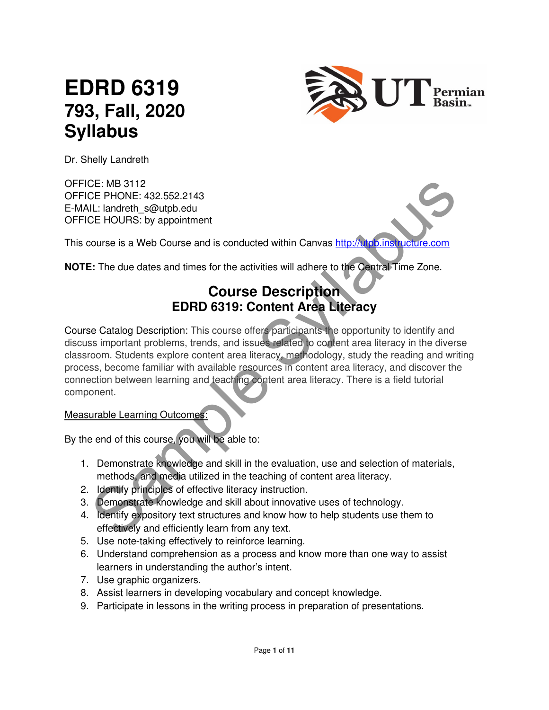# **EDRD 6319 793, Fall, 2020 Syllabus**



Dr. Shelly Landreth

OFFICE: MB 3112 OFFICE PHONE: 432.552.2143 E-MAIL: landreth\_s@utpb.edu OFFICE HOURS: by appointment

This course is a Web Course and is conducted within Canvas http://utpb.instructure.com

**NOTE:** The due dates and times for the activities will adhere to the Central Time Zone.

# **Course Description EDRD 6319: Content Area Literacy**

CE: MB 3112<br>
CE PHONE: 432.552.2143<br>
Lt.: landreth\_s@utpb.edu<br>
Lt.: landreth\_s@utpb.edu<br>
Lt.: landreth\_s@utpb.edu<br>
CE HOURS: by appointment<br>
Significant rooms in the solution of the activities will adhere to the Central Ti Course Catalog Description: This course offers participants the opportunity to identify and discuss important problems, trends, and issues related to content area literacy in the diverse classroom. Students explore content area literacy, methodology, study the reading and writing process, become familiar with available resources in content area literacy, and discover the connection between learning and teaching content area literacy. There is a field tutorial component.

#### Measurable Learning Outcomes:

By the end of this course, you will be able to:

- 1. Demonstrate knowledge and skill in the evaluation, use and selection of materials, methods, and media utilized in the teaching of content area literacy.
- 2. Identify principles of effective literacy instruction.
- 3. Demonstrate knowledge and skill about innovative uses of technology.
- 4. Identify expository text structures and know how to help students use them to effectively and efficiently learn from any text.
- 5. Use note-taking effectively to reinforce learning.
- 6. Understand comprehension as a process and know more than one way to assist learners in understanding the author's intent.
- 7. Use graphic organizers.
- 8. Assist learners in developing vocabulary and concept knowledge.
- 9. Participate in lessons in the writing process in preparation of presentations.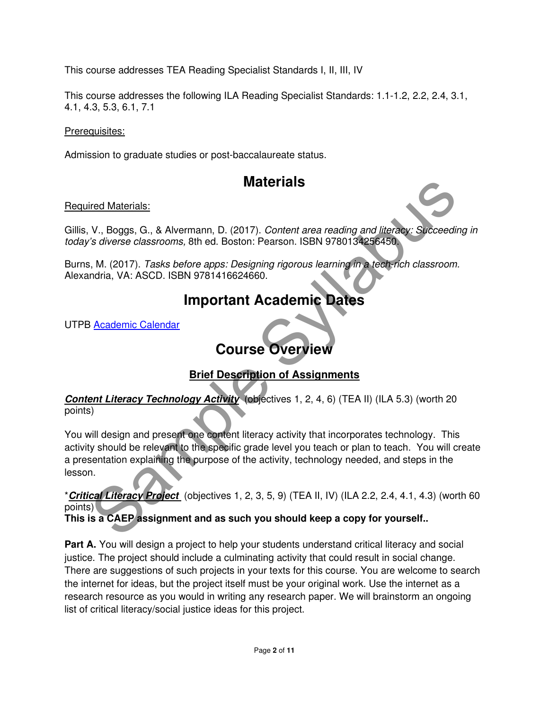This course addresses TEA Reading Specialist Standards I, II, III, IV

This course addresses the following ILA Reading Specialist Standards: 1.1-1.2, 2.2, 2.4, 3.1, 4.1, 4.3, 5.3, 6.1, 7.1

Prerequisites:

Admission to graduate studies or post-baccalaureate status.

# **Materials**

#### Required Materials:

Gillis, V., Boggs, G., & Alvermann, D. (2017). Content area reading and literacy: Succeeding in today's diverse classrooms, 8th ed. Boston: Pearson. ISBN 9780134256450.

Burns, M. (2017). Tasks before apps: Designing rigorous learning in a tech-rich classroom. Alexandria, VA: ASCD. ISBN 9781416624660.

# **Important Academic Dates**

UTPB Academic Calendar

# **Course Overview**

### **Brief Description of Assignments**

#### **Content Literacy Technology Activity** (objectives 1, 2, 4, 6) (TEA II) (ILA 5.3) (worth 20 points)

**Materials:**<br>
W. Boggs, G., & Alvermann, D. (2017). Content area reading and literator: Succeeding<br>
Sirverse classrooms, 8th ed. Boston: Pearson. ISBN 9780134256450.<br>
Sir, M. (2017). Tasks before apps: Designing rigorous l You will design and present one content literacy activity that incorporates technology. This activity should be relevant to the specific grade level you teach or plan to teach. You will create a presentation explaining the purpose of the activity, technology needed, and steps in the lesson.

\***Critical Literacy Project** (objectives 1, 2, 3, 5, 9) (TEA II, IV) (ILA 2.2, 2.4, 4.1, 4.3) (worth 60 points)

#### **This is a CAEP assignment and as such you should keep a copy for yourself..**

**Part A.** You will design a project to help your students understand critical literacy and social justice. The project should include a culminating activity that could result in social change. There are suggestions of such projects in your texts for this course. You are welcome to search the internet for ideas, but the project itself must be your original work. Use the internet as a research resource as you would in writing any research paper. We will brainstorm an ongoing list of critical literacy/social justice ideas for this project.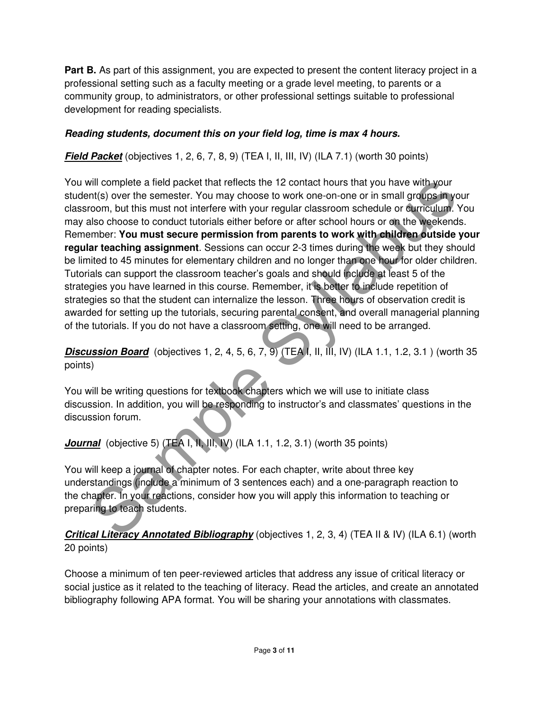**Part B.** As part of this assignment, you are expected to present the content literacy project in a professional setting such as a faculty meeting or a grade level meeting, to parents or a community group, to administrators, or other professional settings suitable to professional development for reading specialists.

#### **Reading students, document this on your field log, time is max 4 hours.**

**Field Packet** (objectives 1, 2, 6, 7, 8, 9) (TEA I, II, III, IV) (ILA 7.1) (worth 30 points)

will complete a field packet that reflects the 12 contact hours that you have with your<br>int(s) over the semester. You may choose to work one-on-one or in small groups in your<br>form, but this must not interfere with your reg You will complete a field packet that reflects the 12 contact hours that you have with your student(s) over the semester. You may choose to work one-on-one or in small groups in your classroom, but this must not interfere with your regular classroom schedule or curriculum. You may also choose to conduct tutorials either before or after school hours or on the weekends. Remember: **You must secure permission from parents to work with children outside your regular teaching assignment**. Sessions can occur 2-3 times during the week but they should be limited to 45 minutes for elementary children and no longer than one hour for older children. Tutorials can support the classroom teacher's goals and should include at least 5 of the strategies you have learned in this course. Remember, it is better to include repetition of strategies so that the student can internalize the lesson. Three hours of observation credit is awarded for setting up the tutorials, securing parental consent, and overall managerial planning of the tutorials. If you do not have a classroom setting, one will need to be arranged.

#### **Discussion Board** (objectives 1, 2, 4, 5, 6, 7, 9) (TEA I, II, III, IV) (ILA 1.1, 1.2, 3.1) (worth 35 points)

You will be writing questions for textbook chapters which we will use to initiate class discussion. In addition, you will be responding to instructor's and classmates' questions in the discussion forum.

**Journal** (objective 5) (TEA I, II, III, IV) (ILA 1.1, 1.2, 3.1) (worth 35 points)

You will keep a journal of chapter notes. For each chapter, write about three key understandings (include a minimum of 3 sentences each) and a one-paragraph reaction to the chapter. In your reactions, consider how you will apply this information to teaching or preparing to teach students.

**Critical Literacy Annotated Bibliography** (objectives 1, 2, 3, 4) (TEA II & IV) (ILA 6.1) (worth 20 points)

Choose a minimum of ten peer-reviewed articles that address any issue of critical literacy or social justice as it related to the teaching of literacy. Read the articles, and create an annotated bibliography following APA format. You will be sharing your annotations with classmates.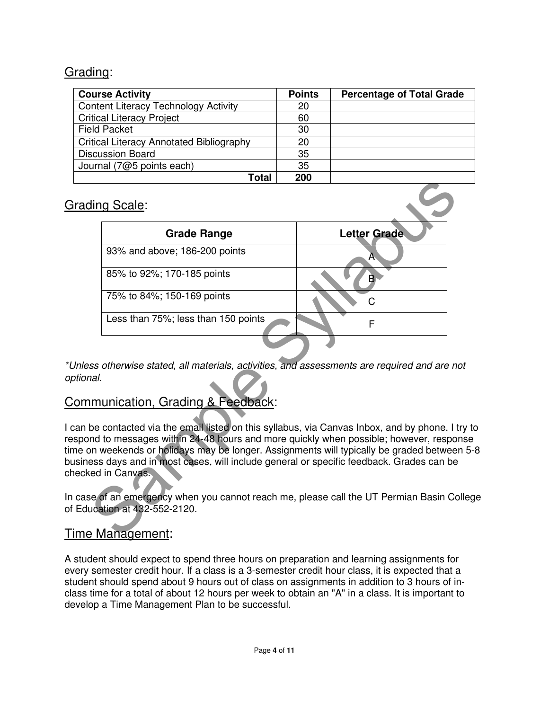### Grading:

| <b>Course Activity</b>                          | <b>Points</b> | <b>Percentage of Total Grade</b> |
|-------------------------------------------------|---------------|----------------------------------|
| <b>Content Literacy Technology Activity</b>     | 20            |                                  |
| <b>Critical Literacy Project</b>                | 60            |                                  |
| <b>Field Packet</b>                             | 30            |                                  |
| <b>Critical Literacy Annotated Bibliography</b> | 20            |                                  |
| <b>Discussion Board</b>                         | -35           |                                  |
| Journal (7@5 points each)                       | 35            |                                  |
| Total                                           | 200           |                                  |

### Grading Scale:

|     | ι νιαι                                                                                                                                                                                                                                                                                                                                                                            | LUU |                     |  |
|-----|-----------------------------------------------------------------------------------------------------------------------------------------------------------------------------------------------------------------------------------------------------------------------------------------------------------------------------------------------------------------------------------|-----|---------------------|--|
|     | ding Scale:                                                                                                                                                                                                                                                                                                                                                                       |     |                     |  |
|     | <b>Grade Range</b>                                                                                                                                                                                                                                                                                                                                                                |     | <b>Letter Grade</b> |  |
|     | 93% and above; 186-200 points                                                                                                                                                                                                                                                                                                                                                     |     | A                   |  |
|     | 85% to 92%; 170-185 points                                                                                                                                                                                                                                                                                                                                                        |     | B.                  |  |
|     | 75% to 84%; 150-169 points                                                                                                                                                                                                                                                                                                                                                        |     | С                   |  |
|     | Less than 75%; less than 150 points                                                                                                                                                                                                                                                                                                                                               |     | F                   |  |
|     |                                                                                                                                                                                                                                                                                                                                                                                   |     |                     |  |
| al. | ss otherwise stated, all materials, activities, and assessments are required and are not<br><b>Imunication, Grading &amp; Feedback:</b>                                                                                                                                                                                                                                           |     |                     |  |
|     | be contacted via the email listed on this syllabus, via Canvas Inbox, and by phone. I try<br>nd to messages within 24-48 hours and more quickly when possible; however, respons<br>on weekends or holidays may be longer. Assignments will typically be graded between 5<br>ess days and in most cases, will include general or specific feedback. Grades can be<br>ed in Canvas. |     |                     |  |
|     | se of an emergency when you cannot reach me, please call the UT Permian Basin Colle<br>ucation at 432-552-2120.                                                                                                                                                                                                                                                                   |     |                     |  |
|     | e Management:                                                                                                                                                                                                                                                                                                                                                                     |     |                     |  |

\*Unless otherwise stated, all materials, activities, and assessments are required and are not optional.

## Communication, Grading & Feedback:

I can be contacted via the email listed on this syllabus, via Canvas Inbox, and by phone. I try to respond to messages within 24-48 hours and more quickly when possible; however, response time on weekends or holidays may be longer. Assignments will typically be graded between 5-8 business days and in most cases, will include general or specific feedback. Grades can be checked in Canvas.

In case of an emergency when you cannot reach me, please call the UT Permian Basin College of Education at 432-552-2120.

### Time Management:

A student should expect to spend three hours on preparation and learning assignments for every semester credit hour. If a class is a 3-semester credit hour class, it is expected that a student should spend about 9 hours out of class on assignments in addition to 3 hours of inclass time for a total of about 12 hours per week to obtain an "A" in a class. It is important to develop a Time Management Plan to be successful.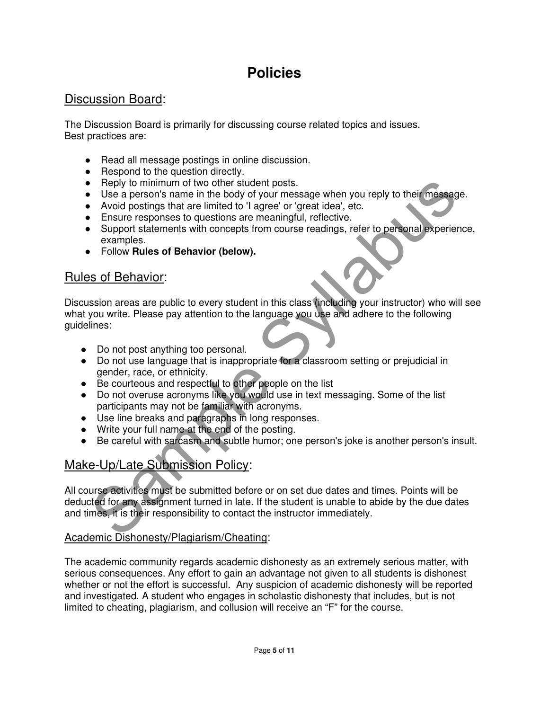# **Policies**

### Discussion Board:

The Discussion Board is primarily for discussing course related topics and issues. Best practices are:

- Read all message postings in online discussion.
- Respond to the question directly.
- Reply to minimum of two other student posts.
- Use a person's name in the body of your message when you reply to their message.
- Avoid postings that are limited to 'I agree' or 'great idea', etc.
- Ensure responses to questions are meaningful, reflective.
- Support statements with concepts from course readings, refer to personal experience, examples.
- Follow **Rules of Behavior (below).**

## Rules of Behavior:

Preply to minimum of two other student posts.<br>
Use a person's name in the body of your message when you reply to their message.<br>
Avoid postings that are limited to 'l agree' or 'great idea', etc.<br>
Finsure responses to ques Discussion areas are public to every student in this class (including your instructor) who will see what you write. Please pay attention to the language you use and adhere to the following guidelines:

- Do not post anything too personal.
- Do not use language that is inappropriate for a classroom setting or prejudicial in gender, race, or ethnicity.
- Be courteous and respectful to other people on the list
- Do not overuse acronyms like you would use in text messaging. Some of the list participants may not be familiar with acronyms.
- Use line breaks and paragraphs in long responses.
- Write your full name at the end of the posting.
- Be careful with sarcasm and subtle humor; one person's joke is another person's insult.

# Make-Up/Late Submission Policy:

All course activities must be submitted before or on set due dates and times. Points will be deducted for any assignment turned in late. If the student is unable to abide by the due dates and times, it is their responsibility to contact the instructor immediately.

#### Academic Dishonesty/Plagiarism/Cheating:

The academic community regards academic dishonesty as an extremely serious matter, with serious consequences. Any effort to gain an advantage not given to all students is dishonest whether or not the effort is successful. Any suspicion of academic dishonesty will be reported and investigated. A student who engages in scholastic dishonesty that includes, but is not limited to cheating, plagiarism, and collusion will receive an "F" for the course.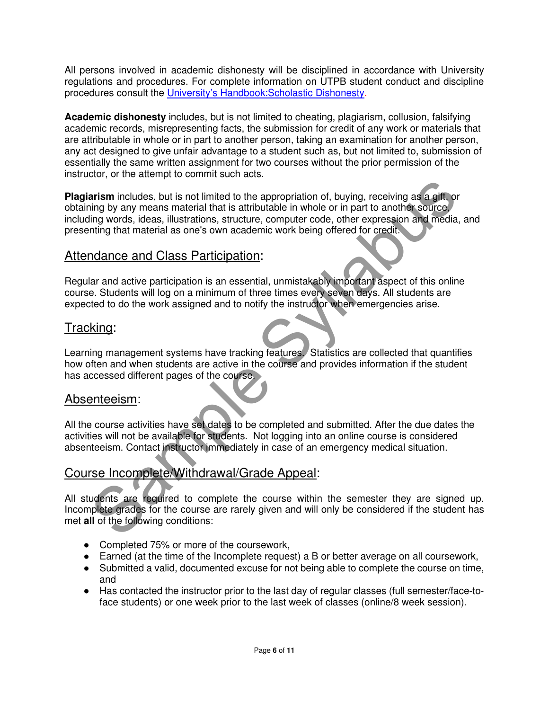All persons involved in academic dishonesty will be disciplined in accordance with University regulations and procedures. For complete information on UTPB student conduct and discipline procedures consult the University's Handbook:Scholastic Dishonesty.

**Academic dishonesty** includes, but is not limited to cheating, plagiarism, collusion, falsifying academic records, misrepresenting facts, the submission for credit of any work or materials that are attributable in whole or in part to another person, taking an examination for another person, any act designed to give unfair advantage to a student such as, but not limited to, submission of essentially the same written assignment for two courses without the prior permission of the instructor, or the attempt to commit such acts.

arism includes, but is not limited to the appropriation of, buying, receiving as a gift or<br>sing by any means material that is attributable in whole or in part to another source,<br>inting words, ideas, illustrations, structur **Plagiarism** includes, but is not limited to the appropriation of, buying, receiving as a gift, or obtaining by any means material that is attributable in whole or in part to another source, including words, ideas, illustrations, structure, computer code, other expression and media, and presenting that material as one's own academic work being offered for credit.

### Attendance and Class Participation:

Regular and active participation is an essential, unmistakably important aspect of this online course. Students will log on a minimum of three times every seven days. All students are expected to do the work assigned and to notify the instructor when emergencies arise.

#### Tracking:

Learning management systems have tracking features. Statistics are collected that quantifies how often and when students are active in the course and provides information if the student has accessed different pages of the course.

#### Absenteeism:

All the course activities have set dates to be completed and submitted. After the due dates the activities will not be available for students. Not logging into an online course is considered absenteeism. Contact instructor immediately in case of an emergency medical situation.

#### Course Incomplete/Withdrawal/Grade Appeal:

All students are required to complete the course within the semester they are signed up. Incomplete grades for the course are rarely given and will only be considered if the student has met **all** of the following conditions:

- Completed 75% or more of the coursework,
- Earned (at the time of the Incomplete request) a B or better average on all coursework,
- Submitted a valid, documented excuse for not being able to complete the course on time, and
- Has contacted the instructor prior to the last day of regular classes (full semester/face-toface students) or one week prior to the last week of classes (online/8 week session).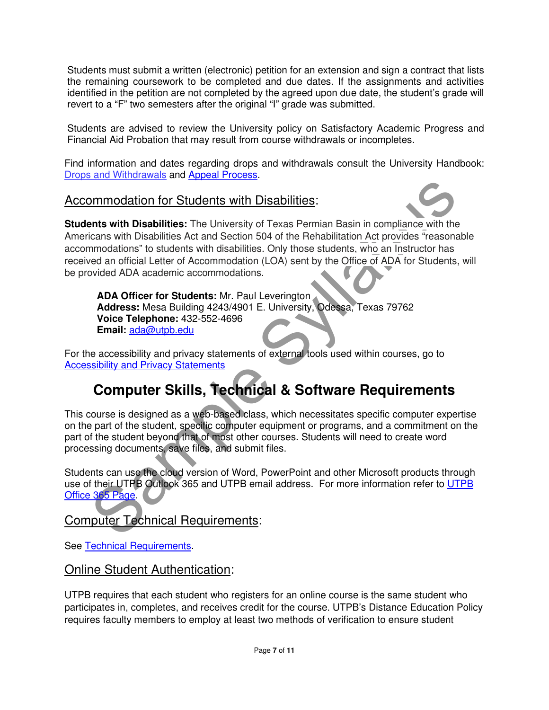Students must submit a written (electronic) petition for an extension and sign a contract that lists the remaining coursework to be completed and due dates. If the assignments and activities identified in the petition are not completed by the agreed upon due date, the student's grade will revert to a "F" two semesters after the original "I" grade was submitted.

Students are advised to review the University policy on Satisfactory Academic Progress and Financial Aid Probation that may result from course withdrawals or incompletes.

Find information and dates regarding drops and withdrawals consult the University Handbook: Drops and Withdrawals and Appeal Process.

#### Accommodation for Students with Disabilities:

**Example Syllabulties:**<br>
Interior Students with Disabilities:<br>
Interior of Euclidents with Disabilities: The University of Texas Permian Basin in compliance with the<br>
Icians with Disabilities Act and Section 504 of the Reh **Students with Disabilities:** The University of Texas Permian Basin in compliance with the Americans with Disabilities Act and Section 504 of the Rehabilitation Act provides "reasonable accommodations" to students with disabilities. Only those students, who an Instructor has received an official Letter of Accommodation (LOA) sent by the Office of ADA for Students, will be provided ADA academic accommodations.

**ADA Officer for Students:** Mr. Paul Leverington **Address:** Mesa Building 4243/4901 E. University, Odessa, Texas 79762 **Voice Telephone:** 432-552-4696 **Email:** ada@utpb.edu

For the accessibility and privacy statements of external tools used within courses, go to Accessibility and Privacy Statements

# **Computer Skills, Technical & Software Requirements**

This course is designed as a web-based class, which necessitates specific computer expertise on the part of the student, specific computer equipment or programs, and a commitment on the part of the student beyond that of most other courses. Students will need to create word processing documents, save files, and submit files.

Students can use the cloud version of Word, PowerPoint and other Microsoft products through use of their UTPB Outlook 365 and UTPB email address. For more information refer to UTPB Office 365 Page.

Computer Technical Requirements:

See Technical Requirements.

#### Online Student Authentication:

UTPB requires that each student who registers for an online course is the same student who participates in, completes, and receives credit for the course. UTPB's Distance Education Policy requires faculty members to employ at least two methods of verification to ensure student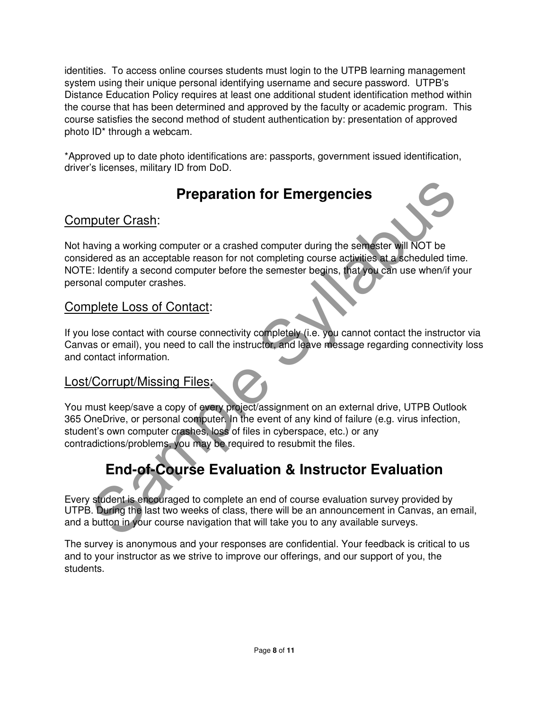identities. To access online courses students must login to the UTPB learning management system using their unique personal identifying username and secure password. UTPB's Distance Education Policy requires at least one additional student identification method within the course that has been determined and approved by the faculty or academic program. This course satisfies the second method of student authentication by: presentation of approved photo ID\* through a webcam.

\*Approved up to date photo identifications are: passports, government issued identification, driver's licenses, military ID from DoD.

# **Preparation for Emergencies**

## Computer Crash:

**Preparation for Emergencies**<br>
Surving a working computer or a crashed computer during the semester will NOT be<br>
detect as an acceptable reason for not completing course activities at a scheduled time.<br>
E: Identify a secon Not having a working computer or a crashed computer during the semester will NOT be considered as an acceptable reason for not completing course activities at a scheduled time. NOTE: Identify a second computer before the semester begins, that you can use when/if your personal computer crashes.

### Complete Loss of Contact:

If you lose contact with course connectivity completely (i.e. you cannot contact the instructor via Canvas or email), you need to call the instructor, and leave message regarding connectivity loss and contact information.

### Lost/Corrupt/Missing Files:

You must keep/save a copy of every project/assignment on an external drive, UTPB Outlook 365 OneDrive, or personal computer. In the event of any kind of failure (e.g. virus infection, student's own computer crashes, loss of files in cyberspace, etc.) or any contradictions/problems, you may be required to resubmit the files.

# **End-of-Course Evaluation & Instructor Evaluation**

Every student is encouraged to complete an end of course evaluation survey provided by UTPB. During the last two weeks of class, there will be an announcement in Canvas, an email, and a button in your course navigation that will take you to any available surveys.

The survey is anonymous and your responses are confidential. Your feedback is critical to us and to your instructor as we strive to improve our offerings, and our support of you, the students.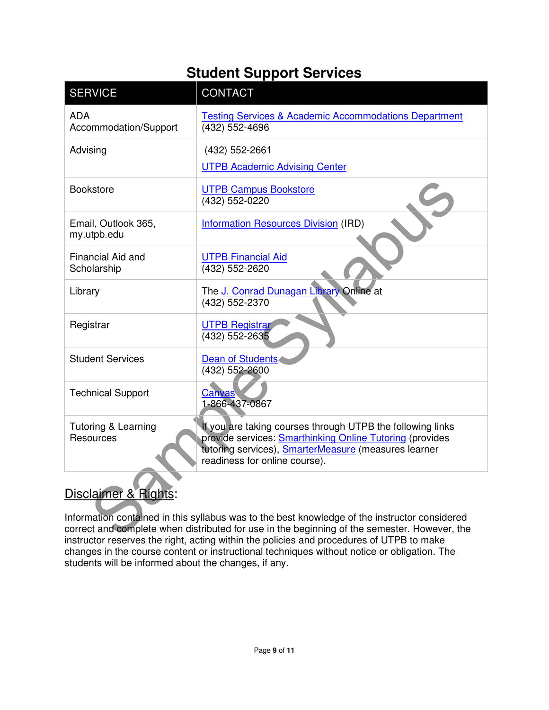# **Student Support Services**

| <b>SERVICE</b>                                                                                                                                                                                                                                 | <b>CONTACT</b>                                                                                                                                                                                                         |  |
|------------------------------------------------------------------------------------------------------------------------------------------------------------------------------------------------------------------------------------------------|------------------------------------------------------------------------------------------------------------------------------------------------------------------------------------------------------------------------|--|
| <b>ADA</b><br>Accommodation/Support                                                                                                                                                                                                            | <b>Testing Services &amp; Academic Accommodations Department</b><br>(432) 552-4696                                                                                                                                     |  |
| Advising                                                                                                                                                                                                                                       | (432) 552-2661<br><b>UTPB Academic Advising Center</b>                                                                                                                                                                 |  |
| <b>Bookstore</b>                                                                                                                                                                                                                               | <b>UTPB Campus Bookstore</b><br>(432) 552-0220                                                                                                                                                                         |  |
| Email, Outlook 365,<br>my.utpb.edu                                                                                                                                                                                                             | <b>Information Resources Division (IRD)</b>                                                                                                                                                                            |  |
| <b>Financial Aid and</b><br>Scholarship                                                                                                                                                                                                        | <b>UTPB Financial Aid</b><br>(432) 552-2620                                                                                                                                                                            |  |
| Library                                                                                                                                                                                                                                        | The J. Conrad Dunagan Library Online at<br>(432) 552-2370                                                                                                                                                              |  |
| Registrar                                                                                                                                                                                                                                      | <b>UTPB Registral</b><br>(432) 552-2635                                                                                                                                                                                |  |
| <b>Student Services</b>                                                                                                                                                                                                                        | Dean of Students<br>$\overline{(432)}$ 552-2600                                                                                                                                                                        |  |
| <b>Technical Support</b>                                                                                                                                                                                                                       | Canvas<br>1-866-437-0867                                                                                                                                                                                               |  |
| Tutoring & Learning<br>Resources                                                                                                                                                                                                               | If you are taking courses through UTPB the following links<br>provide services: Smarthinking Online Tutoring (provides<br>tutoring services), <b>SmarterMeasure</b> (measures learner<br>readiness for online course). |  |
| Disclaimer & Rights:                                                                                                                                                                                                                           |                                                                                                                                                                                                                        |  |
| Information contained in this syllabus was to the best knowledge of the instructor considered<br>correct and complete when distributed for use in the beginning of the semester. However, the<br><u>in the contract contract of the common</u> |                                                                                                                                                                                                                        |  |

# Disclaimer & Rights:

Information contained in this syllabus was to the best knowledge of the instructor considered correct and complete when distributed for use in the beginning of the semester. However, the instructor reserves the right, acting within the policies and procedures of UTPB to make changes in the course content or instructional techniques without notice or obligation. The students will be informed about the changes, if any.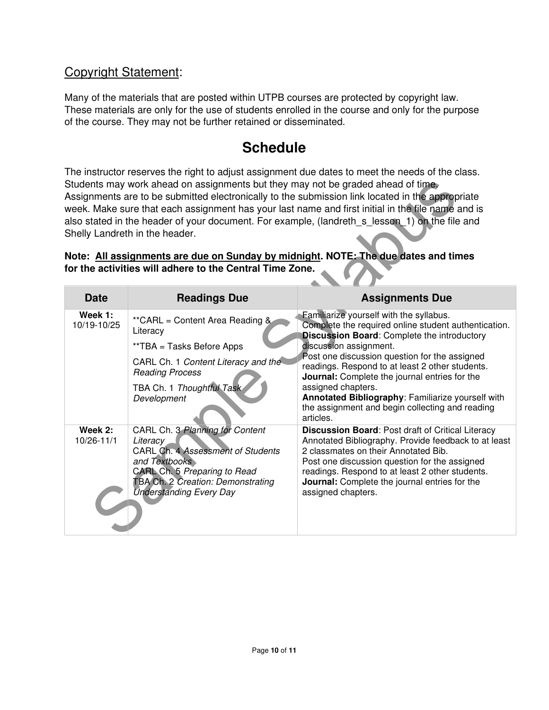### Copyright Statement:

Many of the materials that are posted within UTPB courses are protected by copyright law. These materials are only for the use of students enrolled in the course and only for the purpose of the course. They may not be further retained or disseminated.

# **Schedule**

The instructor reserves the right to adjust assignment due dates to meet the needs of the class. Students may work ahead on assignments but they may not be graded ahead of time. Assignments are to be submitted electronically to the submission link located in the appropriate week. Make sure that each assignment has your last name and first initial in the file name and is also stated in the header of your document. For example, (landreth\_s\_lesson\_1) on the file and Shelly Landreth in the header.

| Students may work ahead on assignments but they may not be graded ahead of time.<br>Assignments are to be submitted electronically to the submission link located in the appropriate<br>week. Make sure that each assignment has your last name and first initial in the file name and is<br>also stated in the header of your document. For example, (landreth s lesson 1) on the file and<br>Shelly Landreth in the header.<br>Note: All assignments are due on Sunday by midnight. NOTE: The due dates and times<br>for the activities will adhere to the Central Time Zone. |                                                                                                                                                                                                                 |                                                                                                                                                                                                                                                                                                                                                                                                                                                                                 |  |  |
|---------------------------------------------------------------------------------------------------------------------------------------------------------------------------------------------------------------------------------------------------------------------------------------------------------------------------------------------------------------------------------------------------------------------------------------------------------------------------------------------------------------------------------------------------------------------------------|-----------------------------------------------------------------------------------------------------------------------------------------------------------------------------------------------------------------|---------------------------------------------------------------------------------------------------------------------------------------------------------------------------------------------------------------------------------------------------------------------------------------------------------------------------------------------------------------------------------------------------------------------------------------------------------------------------------|--|--|
| <b>Date</b>                                                                                                                                                                                                                                                                                                                                                                                                                                                                                                                                                                     | <b>Readings Due</b>                                                                                                                                                                                             | <b>Assignments Due</b>                                                                                                                                                                                                                                                                                                                                                                                                                                                          |  |  |
| Week 1:<br>10/19-10/25                                                                                                                                                                                                                                                                                                                                                                                                                                                                                                                                                          | ** CARL = Content Area Reading &<br>Literacy<br>**TBA = Tasks Before Apps<br>CARL Ch. 1 Content Literacy and the<br><b>Reading Process</b><br>TBA Ch. 1 Thoughtful Task<br>Development                          | Familiarize yourself with the syllabus.<br>Complete the required online student authentication.<br><b>Discussion Board: Complete the introductory</b><br>discussion assignment.<br>Post one discussion question for the assigned<br>readings. Respond to at least 2 other students.<br>Journal: Complete the journal entries for the<br>assigned chapters.<br>Annotated Bibliography: Familiarize yourself with<br>the assignment and begin collecting and reading<br>articles. |  |  |
| Week 2:<br>10/26-11/1                                                                                                                                                                                                                                                                                                                                                                                                                                                                                                                                                           | CARL Ch. 3 Planning for Content<br>Literacy<br>CARL Ch. 4 Assessment of Students<br>and Textbooks<br>CARL Ch. 5 Preparing to Read<br><b>TBA Ch. 2 Creation: Demonstrating</b><br><b>Understanding Every Day</b> | <b>Discussion Board: Post draft of Critical Literacy</b><br>Annotated Bibliography. Provide feedback to at least<br>2 classmates on their Annotated Bib.<br>Post one discussion question for the assigned<br>readings. Respond to at least 2 other students.<br>Journal: Complete the journal entries for the<br>assigned chapters.                                                                                                                                             |  |  |